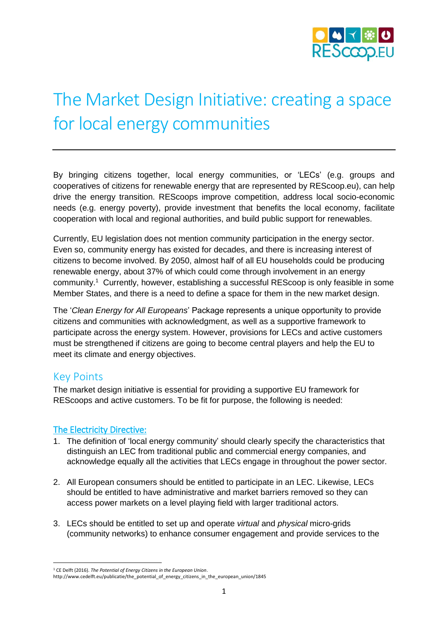

# The Market Design Initiative: creating a space for local energy communities

By bringing citizens together, local energy communities, or 'LECs' (e.g. groups and cooperatives of citizens for renewable energy that are represented by REScoop.eu), can help drive the energy transition. REScoops improve competition, address local socio-economic needs (e.g. energy poverty), provide investment that benefits the local economy, facilitate cooperation with local and regional authorities, and build public support for renewables.

Currently, EU legislation does not mention community participation in the energy sector. Even so, community energy has existed for decades, and there is increasing interest of citizens to become involved. By 2050, almost half of all EU households could be producing renewable energy, about 37% of which could come through involvement in an energy community.<sup>1</sup> Currently, however, establishing a successful REScoop is only feasible in some Member States, and there is a need to define a space for them in the new market design.

The '*Clean Energy for All Europeans*' Package represents a unique opportunity to provide citizens and communities with acknowledgment, as well as a supportive framework to participate across the energy system. However, provisions for LECs and active customers must be strengthened if citizens are going to become central players and help the EU to meet its climate and energy objectives.

### Key Points

The market design initiative is essential for providing a supportive EU framework for REScoops and active customers. To be fit for purpose, the following is needed:

### The Electricity Directive:

- 1. The definition of 'local energy community' should clearly specify the characteristics that distinguish an LEC from traditional public and commercial energy companies, and acknowledge equally all the activities that LECs engage in throughout the power sector.
- 2. All European consumers should be entitled to participate in an LEC. Likewise, LECs should be entitled to have administrative and market barriers removed so they can access power markets on a level playing field with larger traditional actors.
- 3. LECs should be entitled to set up and operate *virtual* and *physical* micro-grids (community networks) to enhance consumer engagement and provide services to the

**<sup>.</sup>** <sup>1</sup> CE Delft (2016). *The Potential of Energy Citizens in the European Union*.

http://www.cedelft.eu/publicatie/the\_potential\_of\_energy\_citizens\_in\_the\_european\_union/1845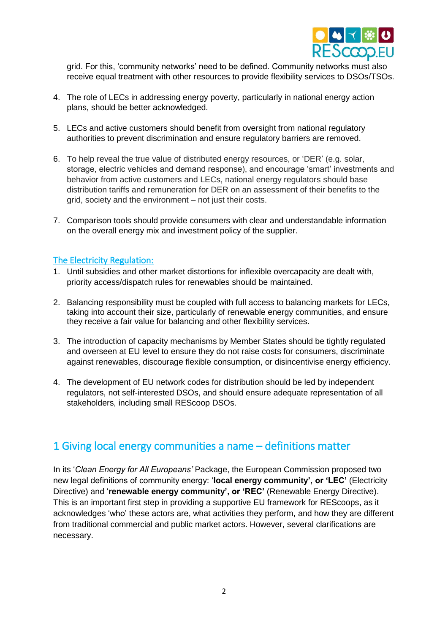

grid. For this, 'community networks' need to be defined. Community networks must also receive equal treatment with other resources to provide flexibility services to DSOs/TSOs.

- 4. The role of LECs in addressing energy poverty, particularly in national energy action plans, should be better acknowledged.
- 5. LECs and active customers should benefit from oversight from national regulatory authorities to prevent discrimination and ensure regulatory barriers are removed.
- 6. To help reveal the true value of distributed energy resources, or 'DER' (e.g. solar, storage, electric vehicles and demand response), and encourage 'smart' investments and behavior from active customers and LECs, national energy regulators should base distribution tariffs and remuneration for DER on an assessment of their benefits to the grid, society and the environment – not just their costs.
- 7. Comparison tools should provide consumers with clear and understandable information on the overall energy mix and investment policy of the supplier.

#### The Electricity Regulation:

- 1. Until subsidies and other market distortions for inflexible overcapacity are dealt with, priority access/dispatch rules for renewables should be maintained.
- 2. Balancing responsibility must be coupled with full access to balancing markets for LECs, taking into account their size, particularly of renewable energy communities, and ensure they receive a fair value for balancing and other flexibility services.
- 3. The introduction of capacity mechanisms by Member States should be tightly regulated and overseen at EU level to ensure they do not raise costs for consumers, discriminate against renewables, discourage flexible consumption, or disincentivise energy efficiency.
- 4. The development of EU network codes for distribution should be led by independent regulators, not self-interested DSOs, and should ensure adequate representation of all stakeholders, including small REScoop DSOs.

### 1 Giving local energy communities a name – definitions matter

In its '*Clean Energy for All Europeans'* Package, the European Commission proposed two new legal definitions of community energy: '**local energy community', or 'LEC'** (Electricity Directive) and '**renewable energy community', or 'REC'** (Renewable Energy Directive). This is an important first step in providing a supportive EU framework for REScoops, as it acknowledges 'who' these actors are, what activities they perform, and how they are different from traditional commercial and public market actors. However, several clarifications are necessary.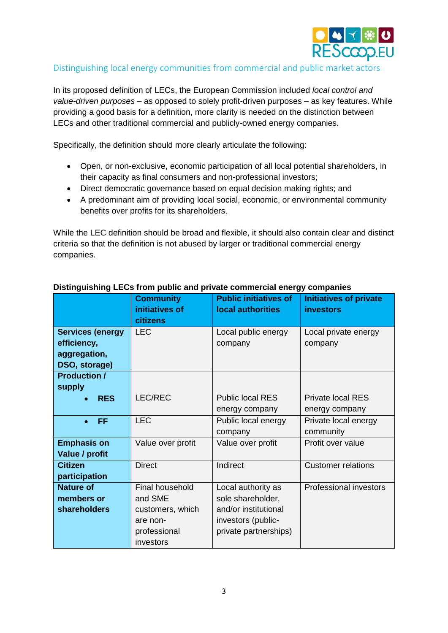

### Distinguishing local energy communities from commercial and public market actors

In its proposed definition of LECs, the European Commission included *local control and value-driven purposes* – as opposed to solely profit-driven purposes – as key features. While providing a good basis for a definition, more clarity is needed on the distinction between LECs and other traditional commercial and publicly-owned energy companies.

Specifically, the definition should more clearly articulate the following:

- Open, or non-exclusive, economic participation of all local potential shareholders, in their capacity as final consumers and non-professional investors;
- Direct democratic governance based on equal decision making rights; and
- A predominant aim of providing local social, economic, or environmental community benefits over profits for its shareholders.

While the LEC definition should be broad and flexible, it should also contain clear and distinct criteria so that the definition is not abused by larger or traditional commercial energy companies.

|                                                                         | <b>Community</b><br>initiatives of<br>citizens                    | <b>Public initiatives of</b><br>local authorities                                     | <b>Initiatives of private</b><br><b>investors</b> |
|-------------------------------------------------------------------------|-------------------------------------------------------------------|---------------------------------------------------------------------------------------|---------------------------------------------------|
| <b>Services (energy</b><br>efficiency,<br>aggregation,<br>DSO, storage) | <b>LEC</b>                                                        | Local public energy<br>company                                                        | Local private energy<br>company                   |
| <b>Production /</b><br>supply<br><b>RES</b><br>$\bullet$                | LEC/REC                                                           | <b>Public local RES</b><br>energy company                                             | <b>Private local RES</b><br>energy company        |
| <b>FF</b>                                                               | <b>LEC</b>                                                        | Public local energy<br>company                                                        | Private local energy<br>community                 |
| <b>Emphasis on</b><br>Value / profit                                    | Value over profit                                                 | Value over profit                                                                     | Profit over value                                 |
| <b>Citizen</b><br>participation                                         | <b>Direct</b>                                                     | Indirect                                                                              | <b>Customer relations</b>                         |
| <b>Nature of</b><br>members or<br><b>shareholders</b>                   | <b>Final household</b><br>and SME<br>customers, which<br>are non- | Local authority as<br>sole shareholder,<br>and/or institutional<br>investors (public- | Professional investors                            |
|                                                                         | professional<br>investors                                         | private partnerships)                                                                 |                                                   |

### **Distinguishing LECs from public and private commercial energy companies**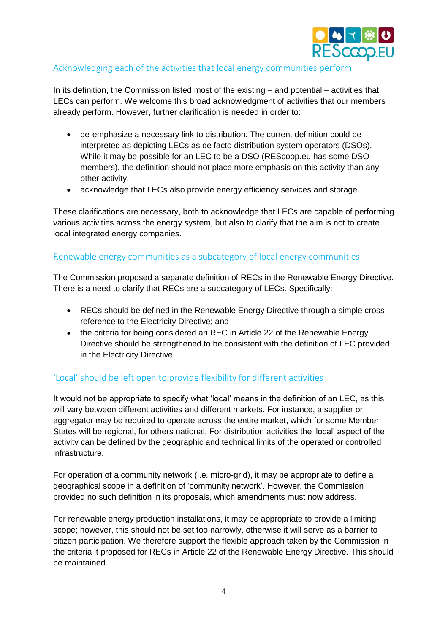

### Acknowledging each of the activities that local energy communities perform

In its definition, the Commission listed most of the existing – and potential – activities that LECs can perform. We welcome this broad acknowledgment of activities that our members already perform. However, further clarification is needed in order to:

- de-emphasize a necessary link to distribution. The current definition could be interpreted as depicting LECs as de facto distribution system operators (DSOs). While it may be possible for an LEC to be a DSO (REScoop.eu has some DSO members), the definition should not place more emphasis on this activity than any other activity.
- acknowledge that LECs also provide energy efficiency services and storage.

These clarifications are necessary, both to acknowledge that LECs are capable of performing various activities across the energy system, but also to clarify that the aim is not to create local integrated energy companies.

### Renewable energy communities as a subcategory of local energy communities

The Commission proposed a separate definition of RECs in the Renewable Energy Directive. There is a need to clarify that RECs are a subcategory of LECs. Specifically:

- RECs should be defined in the Renewable Energy Directive through a simple crossreference to the Electricity Directive; and
- the criteria for being considered an REC in Article 22 of the Renewable Energy Directive should be strengthened to be consistent with the definition of LEC provided in the Electricity Directive.

### 'Local' should be left open to provide flexibility for different activities

It would not be appropriate to specify what 'local' means in the definition of an LEC, as this will vary between different activities and different markets. For instance, a supplier or aggregator may be required to operate across the entire market, which for some Member States will be regional, for others national. For distribution activities the 'local' aspect of the activity can be defined by the geographic and technical limits of the operated or controlled infrastructure.

For operation of a community network (i.e. micro-grid), it may be appropriate to define a geographical scope in a definition of 'community network'. However, the Commission provided no such definition in its proposals, which amendments must now address.

For renewable energy production installations, it may be appropriate to provide a limiting scope; however, this should not be set too narrowly, otherwise it will serve as a barrier to citizen participation. We therefore support the flexible approach taken by the Commission in the criteria it proposed for RECs in Article 22 of the Renewable Energy Directive. This should be maintained.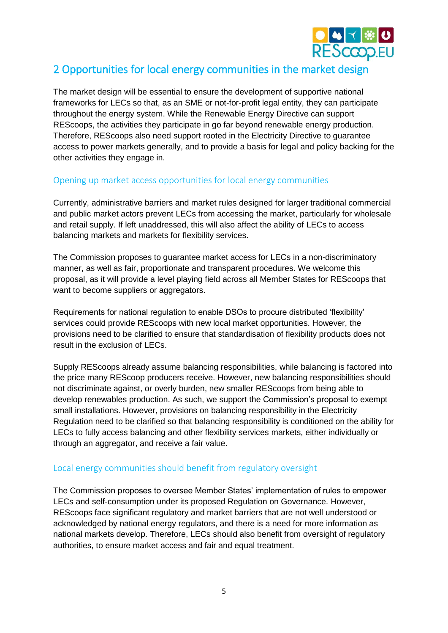

# 2 Opportunities for local energy communities in the market design

The market design will be essential to ensure the development of supportive national frameworks for LECs so that, as an SME or not-for-profit legal entity, they can participate throughout the energy system. While the Renewable Energy Directive can support REScoops, the activities they participate in go far beyond renewable energy production. Therefore, REScoops also need support rooted in the Electricity Directive to guarantee access to power markets generally, and to provide a basis for legal and policy backing for the other activities they engage in.

### Opening up market access opportunities for local energy communities

Currently, administrative barriers and market rules designed for larger traditional commercial and public market actors prevent LECs from accessing the market, particularly for wholesale and retail supply. If left unaddressed, this will also affect the ability of LECs to access balancing markets and markets for flexibility services.

The Commission proposes to guarantee market access for LECs in a non-discriminatory manner, as well as fair, proportionate and transparent procedures. We welcome this proposal, as it will provide a level playing field across all Member States for REScoops that want to become suppliers or aggregators.

Requirements for national regulation to enable DSOs to procure distributed 'flexibility' services could provide REScoops with new local market opportunities. However, the provisions need to be clarified to ensure that standardisation of flexibility products does not result in the exclusion of LECs.

Supply REScoops already assume balancing responsibilities, while balancing is factored into the price many REScoop producers receive. However, new balancing responsibilities should not discriminate against, or overly burden, new smaller REScoops from being able to develop renewables production. As such, we support the Commission's proposal to exempt small installations. However, provisions on balancing responsibility in the Electricity Regulation need to be clarified so that balancing responsibility is conditioned on the ability for LECs to fully access balancing and other flexibility services markets, either individually or through an aggregator, and receive a fair value.

### Local energy communities should benefit from regulatory oversight

The Commission proposes to oversee Member States' implementation of rules to empower LECs and self-consumption under its proposed Regulation on Governance. However, REScoops face significant regulatory and market barriers that are not well understood or acknowledged by national energy regulators, and there is a need for more information as national markets develop. Therefore, LECs should also benefit from oversight of regulatory authorities, to ensure market access and fair and equal treatment.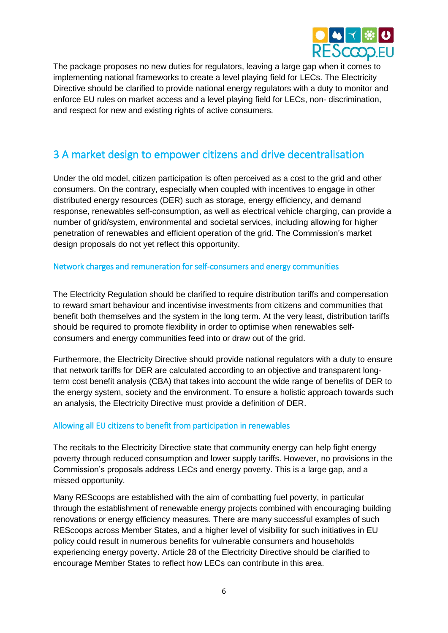

The package proposes no new duties for regulators, leaving a large gap when it comes to implementing national frameworks to create a level playing field for LECs. The Electricity Directive should be clarified to provide national energy regulators with a duty to monitor and enforce EU rules on market access and a level playing field for LECs, non- discrimination, and respect for new and existing rights of active consumers.

## 3 A market design to empower citizens and drive decentralisation

Under the old model, citizen participation is often perceived as a cost to the grid and other consumers. On the contrary, especially when coupled with incentives to engage in other distributed energy resources (DER) such as storage, energy efficiency, and demand response, renewables self-consumption, as well as electrical vehicle charging, can provide a number of grid/system, environmental and societal services, including allowing for higher penetration of renewables and efficient operation of the grid. The Commission's market design proposals do not yet reflect this opportunity.

#### Network charges and remuneration for self-consumers and energy communities

The Electricity Regulation should be clarified to require distribution tariffs and compensation to reward smart behaviour and incentivise investments from citizens and communities that benefit both themselves and the system in the long term. At the very least, distribution tariffs should be required to promote flexibility in order to optimise when renewables selfconsumers and energy communities feed into or draw out of the grid.

Furthermore, the Electricity Directive should provide national regulators with a duty to ensure that network tariffs for DER are calculated according to an objective and transparent longterm cost benefit analysis (CBA) that takes into account the wide range of benefits of DER to the energy system, society and the environment. To ensure a holistic approach towards such an analysis, the Electricity Directive must provide a definition of DER.

### Allowing all EU citizens to benefit from participation in renewables

The recitals to the Electricity Directive state that community energy can help fight energy poverty through reduced consumption and lower supply tariffs. However, no provisions in the Commission's proposals address LECs and energy poverty. This is a large gap, and a missed opportunity.

Many REScoops are established with the aim of combatting fuel poverty, in particular through the establishment of renewable energy projects combined with encouraging building renovations or energy efficiency measures. There are many successful examples of such REScoops across Member States, and a higher level of visibility for such initiatives in EU policy could result in numerous benefits for vulnerable consumers and households experiencing energy poverty. Article 28 of the Electricity Directive should be clarified to encourage Member States to reflect how LECs can contribute in this area.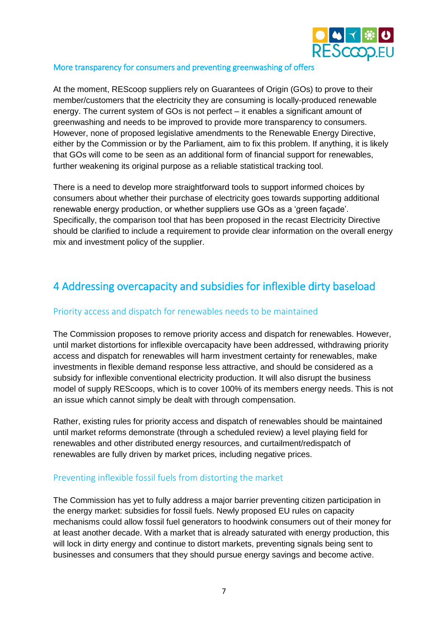

### More transparency for consumers and preventing greenwashing of offers

At the moment, REScoop suppliers rely on Guarantees of Origin (GOs) to prove to their member/customers that the electricity they are consuming is locally-produced renewable energy. The current system of GOs is not perfect – it enables a significant amount of greenwashing and needs to be improved to provide more transparency to consumers. However, none of proposed legislative amendments to the Renewable Energy Directive, either by the Commission or by the Parliament, aim to fix this problem. If anything, it is likely that GOs will come to be seen as an additional form of financial support for renewables, further weakening its original purpose as a reliable statistical tracking tool.

There is a need to develop more straightforward tools to support informed choices by consumers about whether their purchase of electricity goes towards supporting additional renewable energy production, or whether suppliers use GOs as a 'green façade'. Specifically, the comparison tool that has been proposed in the recast Electricity Directive should be clarified to include a requirement to provide clear information on the overall energy mix and investment policy of the supplier.

# 4 Addressing overcapacity and subsidies for inflexible dirty baseload

### Priority access and dispatch for renewables needs to be maintained

The Commission proposes to remove priority access and dispatch for renewables. However, until market distortions for inflexible overcapacity have been addressed, withdrawing priority access and dispatch for renewables will harm investment certainty for renewables, make investments in flexible demand response less attractive, and should be considered as a subsidy for inflexible conventional electricity production. It will also disrupt the business model of supply REScoops, which is to cover 100% of its members energy needs. This is not an issue which cannot simply be dealt with through compensation.

Rather, existing rules for priority access and dispatch of renewables should be maintained until market reforms demonstrate (through a scheduled review) a level playing field for renewables and other distributed energy resources, and curtailment/redispatch of renewables are fully driven by market prices, including negative prices.

### Preventing inflexible fossil fuels from distorting the market

The Commission has yet to fully address a major barrier preventing citizen participation in the energy market: subsidies for fossil fuels. Newly proposed EU rules on capacity mechanisms could allow fossil fuel generators to hoodwink consumers out of their money for at least another decade. With a market that is already saturated with energy production, this will lock in dirty energy and continue to distort markets, preventing signals being sent to businesses and consumers that they should pursue energy savings and become active.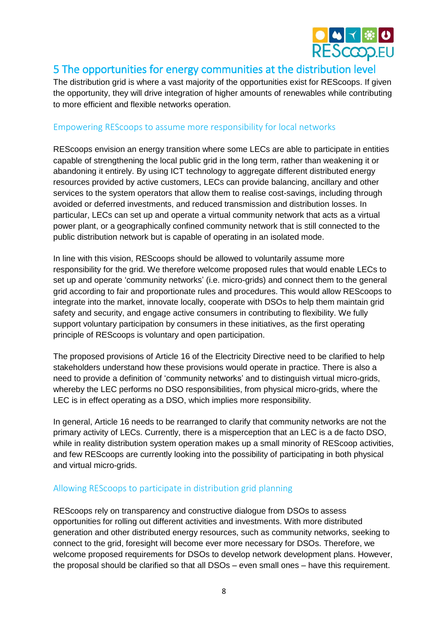

### 5 The opportunities for energy communities at the distribution level

The distribution grid is where a vast majority of the opportunities exist for REScoops. If given the opportunity, they will drive integration of higher amounts of renewables while contributing to more efficient and flexible networks operation.

### Empowering REScoops to assume more responsibility for local networks

REScoops envision an energy transition where some LECs are able to participate in entities capable of strengthening the local public grid in the long term, rather than weakening it or abandoning it entirely. By using ICT technology to aggregate different distributed energy resources provided by active customers, LECs can provide balancing, ancillary and other services to the system operators that allow them to realise cost-savings, including through avoided or deferred investments, and reduced transmission and distribution losses. In particular, LECs can set up and operate a virtual community network that acts as a virtual power plant, or a geographically confined community network that is still connected to the public distribution network but is capable of operating in an isolated mode.

In line with this vision, REScoops should be allowed to voluntarily assume more responsibility for the grid. We therefore welcome proposed rules that would enable LECs to set up and operate 'community networks' (i.e. micro-grids) and connect them to the general grid according to fair and proportionate rules and procedures. This would allow REScoops to integrate into the market, innovate locally, cooperate with DSOs to help them maintain grid safety and security, and engage active consumers in contributing to flexibility. We fully support voluntary participation by consumers in these initiatives, as the first operating principle of REScoops is voluntary and open participation.

The proposed provisions of Article 16 of the Electricity Directive need to be clarified to help stakeholders understand how these provisions would operate in practice. There is also a need to provide a definition of 'community networks' and to distinguish virtual micro-grids, whereby the LEC performs no DSO responsibilities, from physical micro-grids, where the LEC is in effect operating as a DSO, which implies more responsibility.

In general, Article 16 needs to be rearranged to clarify that community networks are not the primary activity of LECs. Currently, there is a misperception that an LEC is a de facto DSO, while in reality distribution system operation makes up a small minority of REScoop activities, and few REScoops are currently looking into the possibility of participating in both physical and virtual micro-grids.

### Allowing REScoops to participate in distribution grid planning

REScoops rely on transparency and constructive dialogue from DSOs to assess opportunities for rolling out different activities and investments. With more distributed generation and other distributed energy resources, such as community networks, seeking to connect to the grid, foresight will become ever more necessary for DSOs. Therefore, we welcome proposed requirements for DSOs to develop network development plans. However, the proposal should be clarified so that all DSOs – even small ones – have this requirement.